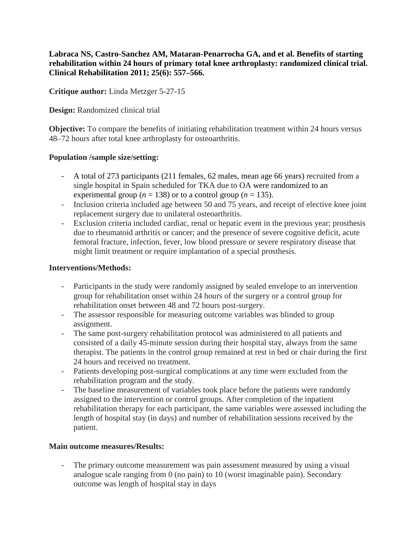**Labraca NS, Castro-Sanchez AM, Mataran-Penarrocha GA, and et al. Benefits of starting rehabilitation within 24 hours of primary total knee arthroplasty: randomized clinical trial. Clinical Rehabilitation 2011; 25(6): 557–566.**

**Critique author:** Linda Metzger 5-27-15

**Design:** Randomized clinical trial

**Objective:** To compare the benefits of initiating rehabilitation treatment within 24 hours versus 48–72 hours after total knee arthroplasty for osteoarthritis.

## **Population /sample size/setting:**

- A total of 273 participants (211 females, 62 males, mean age 66 years) recruited from a single hospital in Spain scheduled for TKA due to OA were randomized to an experimental group ( $n = 138$ ) or to a control group ( $n = 135$ ).
- Inclusion criteria included age between 50 and 75 years, and receipt of elective knee joint replacement surgery due to unilateral osteoarthritis.
- Exclusion criteria included cardiac, renal or hepatic event in the previous year; prosthesis due to rheumatoid arthritis or cancer; and the presence of severe cognitive deficit, acute femoral fracture, infection, fever, low blood pressure or severe respiratory disease that might limit treatment or require implantation of a special prosthesis.

## **Interventions/Methods:**

- Participants in the study were randomly assigned by sealed envelope to an intervention group for rehabilitation onset within 24 hours of the surgery or a control group for rehabilitation onset between 48 and 72 hours post-surgery.
- The assessor responsible for measuring outcome variables was blinded to group assignment.
- The same post-surgery rehabilitation protocol was administered to all patients and consisted of a daily 45-minute session during their hospital stay, always from the same therapist. The patients in the control group remained at rest in bed or chair during the first 24 hours and received no treatment.
- Patients developing post-surgical complications at any time were excluded from the rehabilitation program and the study.
- The baseline measurement of variables took place before the patients were randomly assigned to the intervention or control groups. After completion of the inpatient rehabilitation therapy for each participant, the same variables were assessed including the length of hospital stay (in days) and number of rehabilitation sessions received by the patient.

#### **Main outcome measures/Results:**

- The primary outcome measurement was pain assessment measured by using a visual analogue scale ranging from 0 (no pain) to 10 (worst imaginable pain). Secondary outcome was length of hospital stay in days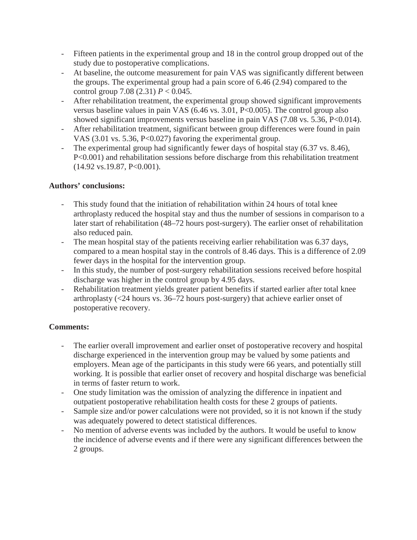- Fifteen patients in the experimental group and 18 in the control group dropped out of the study due to postoperative complications.
- At baseline, the outcome measurement for pain VAS was significantly different between the groups. The experimental group had a pain score of 6.46 (2.94) compared to the control group 7.08 (2.31)  $P < 0.045$ .
- After rehabilitation treatment, the experimental group showed significant improvements versus baseline values in pain VAS (6.46 vs. 3.01, P<0.005). The control group also showed significant improvements versus baseline in pain VAS (7.08 vs. 5.36, P<0.014).
- After rehabilitation treatment, significant between group differences were found in pain VAS (3.01 vs. 5.36, P<0.027) favoring the experimental group.
- The experimental group had significantly fewer days of hospital stay (6.37 vs. 8.46), P<0.001) and rehabilitation sessions before discharge from this rehabilitation treatment (14.92 vs.19.87, P<0.001).

# **Authors' conclusions:**

- This study found that the initiation of rehabilitation within 24 hours of total knee arthroplasty reduced the hospital stay and thus the number of sessions in comparison to a later start of rehabilitation (48–72 hours post-surgery). The earlier onset of rehabilitation also reduced pain.
- The mean hospital stay of the patients receiving earlier rehabilitation was 6.37 days, compared to a mean hospital stay in the controls of 8.46 days. This is a difference of 2.09 fewer days in the hospital for the intervention group.
- In this study, the number of post-surgery rehabilitation sessions received before hospital discharge was higher in the control group by 4.95 days.
- Rehabilitation treatment yields greater patient benefits if started earlier after total knee arthroplasty (<24 hours vs. 36–72 hours post-surgery) that achieve earlier onset of postoperative recovery.

# **Comments:**

- The earlier overall improvement and earlier onset of postoperative recovery and hospital discharge experienced in the intervention group may be valued by some patients and employers. Mean age of the participants in this study were 66 years, and potentially still working. It is possible that earlier onset of recovery and hospital discharge was beneficial in terms of faster return to work.
- One study limitation was the omission of analyzing the difference in inpatient and outpatient postoperative rehabilitation health costs for these 2 groups of patients.
- Sample size and/or power calculations were not provided, so it is not known if the study was adequately powered to detect statistical differences.
- No mention of adverse events was included by the authors. It would be useful to know the incidence of adverse events and if there were any significant differences between the 2 groups.